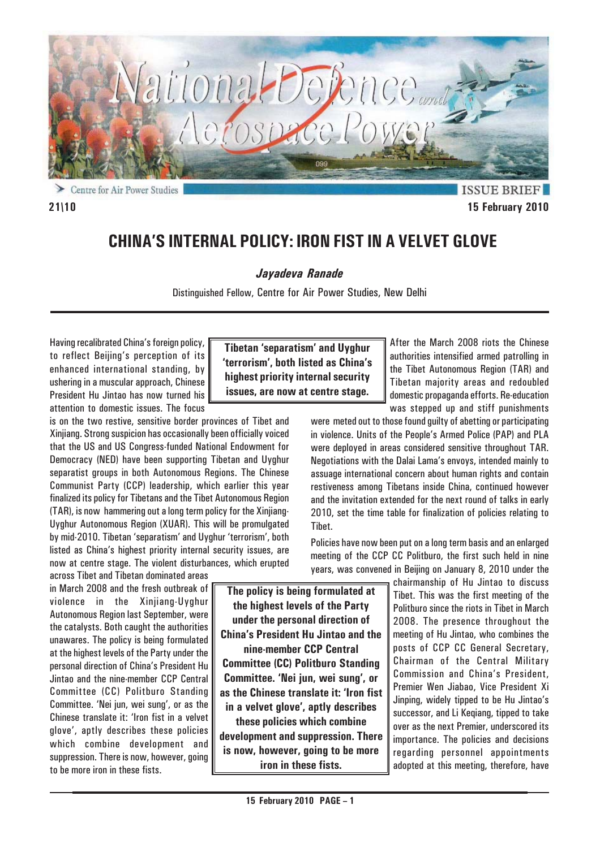

Centre for Air Power Studies ↘

**ISSUE BRIEF 21\10 15 February 2010**

# **CHINA'S INTERNAL POLICY: IRON FIST IN A VELVET GLOVE**

*Jayadeva Ranade*

Distinguished Fellow, Centre for Air Power Studies, New Delhi

Having recalibrated China's foreign policy, to reflect Beijing's perception of its enhanced international standing, by ushering in a muscular approach, Chinese President Hu Jintao has now turned his attention to domestic issues. The focus

is on the two restive, sensitive border provinces of Tibet and Xinjiang. Strong suspicion has occasionally been officially voiced that the US and US Congress-funded National Endowment for Democracy (NED) have been supporting Tibetan and Uyghur separatist groups in both Autonomous Regions. The Chinese Communist Party (CCP) leadership, which earlier this year finalized its policy for Tibetans and the Tibet Autonomous Region (TAR), is now hammering out a long term policy for the Xinjiang-Uyghur Autonomous Region (XUAR). This will be promulgated by mid-2010. Tibetan 'separatism' and Uyghur 'terrorism', both listed as China's highest priority internal security issues, are now at centre stage. The violent disturbances, which erupted

across Tibet and Tibetan dominated areas in March 2008 and the fresh outbreak of violence in the Xiniiang-Uyghur Autonomous Region last September, were the catalysts. Both caught the authorities unawares. The policy is being formulated at the highest levels of the Party under the personal direction of China's President Hu Jintao and the nine-member CCP Central Committee (CC) Politburo Standing Committee. 'Nei jun, wei sung', or as the Chinese translate it: 'Iron fist in a velvet glove', aptly describes these policies which combine development and suppression. There is now, however, going to be more iron in these fists.

**Tibetan 'separatism' and Uyghur 'terrorism', both listed as China's highest priority internal security issues, are now at centre stage.**

After the March 2008 riots the Chinese authorities intensified armed patrolling in the Tibet Autonomous Region (TAR) and Tibetan majority areas and redoubled domestic propaganda efforts. Re-education was stepped up and stiff punishments

were meted out to those found guilty of abetting or participating in violence. Units of the People's Armed Police (PAP) and PLA were deployed in areas considered sensitive throughout TAR. Negotiations with the Dalai Lama's envoys, intended mainly to assuage international concern about human rights and contain restiveness among Tibetans inside China, continued however and the invitation extended for the next round of talks in early 2010, set the time table for finalization of policies relating to Tibet.

Policies have now been put on a long term basis and an enlarged meeting of the CCP CC Politburo, the first such held in nine years, was convened in Beijing on January 8, 2010 under the

> chairmanship of Hu Jintao to discuss Tibet. This was the first meeting of the Politburo since the riots in Tibet in March 2008. The presence throughout the meeting of Hu Jintao, who combines the posts of CCP CC General Secretary, Chairman of the Central Military Commission and China's President, Premier Wen Jiabao, Vice President Xi Jinping, widely tipped to be Hu Jintao's successor, and Li Keqiang, tipped to take over as the next Premier, underscored its importance. The policies and decisions regarding personnel appointments adopted at this meeting, therefore, have

**The policy is being formulated at the highest levels of the Party under the personal direction of China's President Hu Jintao and the nine-member CCP Central Committee (CC) Politburo Standing Committee. 'Nei jun, wei sung', or as the Chinese translate it: 'Iron fist in a velvet glove', aptly describes these policies which combine development and suppression. There is now, however, going to be more**

**iron in these fists.**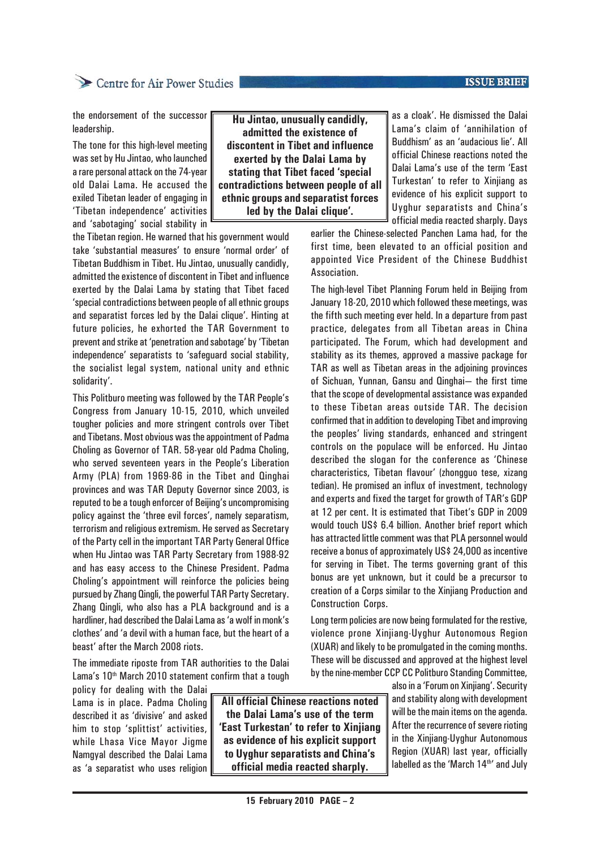#### **15 February 2010 PAGE – 2**

## Centre for Air Power Studies

the endorsement of the successor leadership.

The tone for this high-level meeting was set by Hu Jintao, who launched a rare personal attack on the 74-year old Dalai Lama. He accused the exiled Tibetan leader of engaging in 'Tibetan independence' activities and 'sabotaging' social stability in

the Tibetan region. He warned that his government would take 'substantial measures' to ensure 'normal order' of Tibetan Buddhism in Tibet. Hu Jintao, unusually candidly, admitted the existence of discontent in Tibet and influence exerted by the Dalai Lama by stating that Tibet faced 'special contradictions between people of all ethnic groups and separatist forces led by the Dalai clique'. Hinting at future policies, he exhorted the TAR Government to prevent and strike at 'penetration and sabotage' by 'Tibetan independence' separatists to 'safeguard social stability, the socialist legal system, national unity and ethnic solidarity'.

This Politburo meeting was followed by the TAR People's Congress from January 10-15, 2010, which unveiled tougher policies and more stringent controls over Tibet and Tibetans. Most obvious was the appointment of Padma Choling as Governor of TAR. 58-year old Padma Choling, who served seventeen years in the People's Liberation Army (PLA) from 1969-86 in the Tibet and Qinghai provinces and was TAR Deputy Governor since 2003, is reputed to be a tough enforcer of Beijing's uncompromising policy against the 'three evil forces', namely separatism, terrorism and religious extremism. He served as Secretary of the Party cell in the important TAR Party General Office when Hu Jintao was TAR Party Secretary from 1988-92 and has easy access to the Chinese President. Padma Choling's appointment will reinforce the policies being pursued by Zhang Qingli, the powerful TAR Party Secretary. Zhang Qingli, who also has a PLA background and is a hardliner, had described the Dalai Lama as 'a wolf in monk's clothes' and 'a devil with a human face, but the heart of a beast' after the March 2008 riots.

The immediate riposte from TAR authorities to the Dalai Lama's 10<sup>th</sup> March 2010 statement confirm that a tough

policy for dealing with the Dalai Lama is in place. Padma Choling described it as 'divisive' and asked him to stop 'splittist' activities, while Lhasa Vice Mayor Jigme Namgyal described the Dalai Lama as 'a separatist who uses religion

**All official Chinese reactions noted the Dalai Lama's use of the term 'East Turkestan' to refer to Xinjiang as evidence of his explicit support to Uyghur separatists and China's official media reacted sharply.**

**Hu Jintao, unusually candidly, admitted the existence of discontent in Tibet and influence exerted by the Dalai Lama by stating that Tibet faced 'special contradictions between people of all ethnic groups and separatist forces led by the Dalai clique'.**

as a cloak'. He dismissed the Dalai Lama's claim of 'annihilation of Buddhism' as an 'audacious lie'. All official Chinese reactions noted the Dalai Lama's use of the term 'East Turkestan' to refer to Xinjiang as evidence of his explicit support to Uyghur separatists and China's official media reacted sharply. Days

earlier the Chinese-selected Panchen Lama had, for the first time, been elevated to an official position and appointed Vice President of the Chinese Buddhist Association.

The high-level Tibet Planning Forum held in Beijing from January 18-20, 2010 which followed these meetings, was the fifth such meeting ever held. In a departure from past practice, delegates from all Tibetan areas in China participated. The Forum, which had development and stability as its themes, approved a massive package for TAR as well as Tibetan areas in the adjoining provinces of Sichuan, Yunnan, Gansu and Qinghai— the first time that the scope of developmental assistance was expanded to these Tibetan areas outside TAR. The decision confirmed that in addition to developing Tibet and improving the peoples' living standards, enhanced and stringent controls on the populace will be enforced. Hu Jintao described the slogan for the conference as 'Chinese characteristics, Tibetan flavour' (zhongguo tese, xizang tedian). He promised an influx of investment, technology and experts and fixed the target for growth of TAR's GDP at 12 per cent. It is estimated that Tibet's GDP in 2009 would touch US\$ 6.4 billion. Another brief report which has attracted little comment was that PLA personnel would receive a bonus of approximately US\$ 24,000 as incentive for serving in Tibet. The terms governing grant of this bonus are yet unknown, but it could be a precursor to creation of a Corps similar to the Xinjiang Production and Construction Corps.

Long term policies are now being formulated for the restive, violence prone Xinjiang-Uyghur Autonomous Region (XUAR) and likely to be promulgated in the coming months. These will be discussed and approved at the highest level by the nine-member CCP CC Politburo Standing Committee,

> also in a 'Forum on Xinjiang'. Security and stability along with development will be the main items on the agenda. After the recurrence of severe rioting in the Xinjiang-Uyghur Autonomous Region (XUAR) last year, officially labelled as the 'March 14<sup>th'</sup> and July

**ISSUE BRIEF**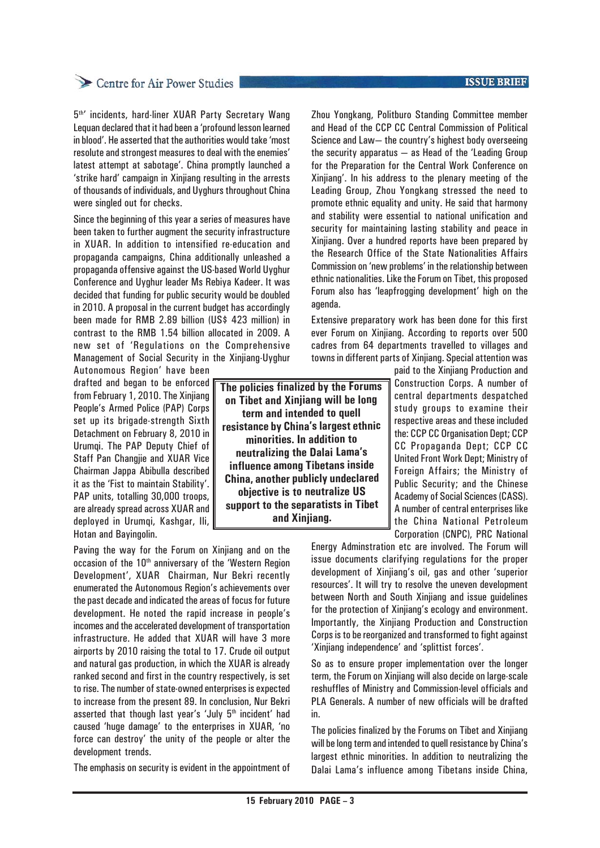## Centre for Air Power Studies

5<sup>th</sup>' incidents, hard-liner XUAR Party Secretary Wang Lequan declared that it had been a 'profound lesson learned in blood'. He asserted that the authorities would take 'most resolute and strongest measures to deal with the enemies' latest attempt at sabotage'. China promptly launched a 'strike hard' campaign in Xinjiang resulting in the arrests of thousands of individuals, and Uyghurs throughout China were singled out for checks.

Since the beginning of this year a series of measures have been taken to further augment the security infrastructure in XUAR. In addition to intensified re-education and propaganda campaigns, China additionally unleashed a propaganda offensive against the US-based World Uyghur Conference and Uyghur leader Ms Rebiya Kadeer. It was decided that funding for public security would be doubled in 2010. A proposal in the current budget has accordingly been made for RMB 2.89 billion (US\$ 423 million) in contrast to the RMB 1.54 billion allocated in 2009. A new set of 'Regulations on the Comprehensive Management of Social Security in the Xinjiang-Uyghur

Autonomous Region' have been drafted and began to be enforced from February 1, 2010. The Xinjiang People's Armed Police (PAP) Corps set up its brigade-strength Sixth Detachment on February 8, 2010 in Urumqi. The PAP Deputy Chief of Staff Pan Changjie and XUAR Vice Chairman Jappa Abibulla described it as the 'Fist to maintain Stability'. PAP units, totalling 30,000 troops, are already spread across XUAR and deployed in Urumqi, Kashgar, Ili, Hotan and Bayingolin.

Paving the way for the Forum on Xinjiang and on the occasion of the  $10<sup>th</sup>$  anniversary of the 'Western Region Development', XUAR Chairman, Nur Bekri recently enumerated the Autonomous Region's achievements over the past decade and indicated the areas of focus for future development. He noted the rapid increase in people's incomes and the accelerated development of transportation infrastructure. He added that XUAR will have 3 more airports by 2010 raising the total to 17. Crude oil output and natural gas production, in which the XUAR is already ranked second and first in the country respectively, is set to rise. The number of state-owned enterprises is expected to increase from the present 89. In conclusion, Nur Bekri asserted that though last year's 'July 5<sup>th</sup> incident' had caused 'huge damage' to the enterprises in XUAR, 'no force can destroy' the unity of the people or alter the development trends.

The emphasis on security is evident in the appointment of

Zhou Yongkang, Politburo Standing Committee member and Head of the CCP CC Central Commission of Political Science and Law— the country's highest body overseeing the security apparatus — as Head of the 'Leading Group for the Preparation for the Central Work Conference on Xinjiang'. In his address to the plenary meeting of the Leading Group, Zhou Yongkang stressed the need to promote ethnic equality and unity. He said that harmony and stability were essential to national unification and security for maintaining lasting stability and peace in Xinjiang. Over a hundred reports have been prepared by the Research Office of the State Nationalities Affairs Commission on 'new problems' in the relationship between ethnic nationalities. Like the Forum on Tibet, this proposed Forum also has 'leapfrogging development' high on the agenda.

Extensive preparatory work has been done for this first ever Forum on Xinjiang. According to reports over 500 cadres from 64 departments travelled to villages and towns in different parts of Xinjiang. Special attention was

**The policies finalized by the Forums on Tibet and Xinjiang will be long term and intended to quell resistance by China's largest ethnic minorities. In addition to neutralizing the Dalai Lama's influence among Tibetans inside China, another publicly undeclared objective is to neutralize US support to the separatists in Tibet and Xinjiang.**

paid to the Xinjiang Production and Construction Corps. A number of central departments despatched study groups to examine their respective areas and these included the: CCP CC Organisation Dept; CCP CC Propaganda Dept; CCP CC United Front Work Dept; Ministry of Foreign Affairs; the Ministry of Public Security; and the Chinese Academy of Social Sciences (CASS). A number of central enterprises like the China National Petroleum Corporation (CNPC), PRC National

Energy Adminstration etc are involved. The Forum will issue documents clarifying regulations for the proper development of Xinjiang's oil, gas and other 'superior resources'. It will try to resolve the uneven development between North and South Xinjiang and issue guidelines for the protection of Xinjiang's ecology and environment. Importantly, the Xinjiang Production and Construction Corps is to be reorganized and transformed to fight against 'Xinjiang independence' and 'splittist forces'.

So as to ensure proper implementation over the longer term, the Forum on Xinjiang will also decide on large-scale reshuffles of Ministry and Commission-level officials and PLA Generals. A number of new officials will be drafted in.

The policies finalized by the Forums on Tibet and Xinjiang will be long term and intended to quell resistance by China's largest ethnic minorities. In addition to neutralizing the Dalai Lama's influence among Tibetans inside China,

### **ISSUE BRIEF**